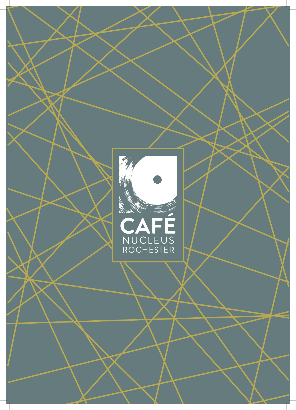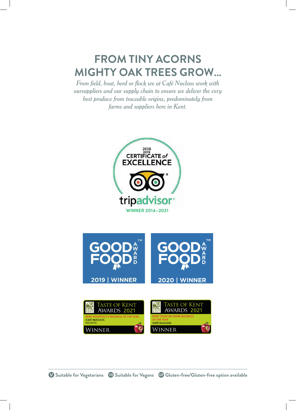# **FROM TINY ACORNS MIGHTY OAK TREES GROW…**

*From field, boat, herd or flock we at Café Nucleus work with oursuppliers and our supply chain to ensure we deliver the very best produce from traceable origins, predominately from farms and suppliers here in Kent.*

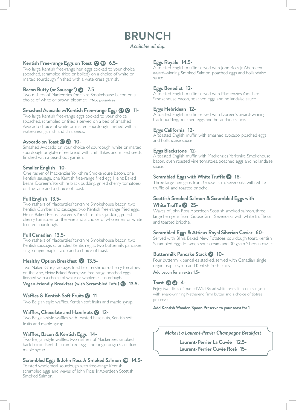## **BRUNCH**

*Available all day.*

### **Kentish Free-range Eggs on Toast 1 GB** 6.5-

Two large Kentish free-range hen eggs cooked to your choice (poached, scrambled, fried or boiled) on a choice of white or malted sourdough finished with a watercress garnish.

### **Bacon Butty (or Sausage\*) 7.5-**

Two rashers of Mackenzies Yorkshire Smokehouse bacon on a choice of white or brown bloomer. \*Not gluten-free

### **Smashed Avocado w/Kentish Free-range Eggs @ 11-**

Two large Kentish free-range eggs cooked to your choice (poached, scrambled or fried ) served on a bed of smashed Avocado choice of white or malted sourdough finished with a watercress garnish and chia seeds.

### Avocado on Toast **G V** 10-

Smashed Avocado on your choice of sourdough, white or malted sourdough or gluten-free bread with chilli flakes and mixed seeds finished with a pea-shoot garnish.

### **Smaller English 10-**

One rasher of Mackenzies Yorkshire Smokehouse bacon, one Kentish sausage, one Kentish free-range fried egg, Heinz Baked Beans, Doreen's Yorkshire black pudding, grilled cherry tomatoeson-the-vine and a choice of toast.

### **Full English 13.5-**

Two rashers of Mackenzies Yorkshire Smokehouse bacon, two Kentish Cumberland sausages, two Kentish free-range fried eggs, Heinz Baked Beans, Doreen's Yorkshire black pudding, grilled cherry tomatoes on the vine and a choice of wholemeal or white toasted sourdough.

### **Full Canadian 13.5-**

Two rashers of Mackenzies Yorkshire Smokehouse bacon, two Kentish sausage, scrambled Kentish eggs, two buttermilk pancakes, single origin maple syrup and a choice of toast.

### **Healthy Option Breakfast @ 13.5-**

Two Naked Glory sausages, fried field mushroom, cherry tomatoeson-the-vine, Heinz Baked Beans, two free-range poached eggs finished with a choice of white or wholemeal sourdough

### **Vegan-friendly Breakfast (with Scrambled Tofu) 13.5-**

### Waffles & Kentish Soft Fruits <sup>11</sup>-

Two Belgian style waffles, Kentish soft fruits and maple syrup.

### Waffles, Chocolate and Hazelnuts **12-**

Two Belgian-style waffles with toasted hazelnuts, Kentish soft fruits and maple syrup.

### **Waffles, Bacon & Kentish Eggs 14-**

Two Belgian-style waffles, two rashers of Mackenzies smoked back bacon, Kentish scrambled eggs and single origin Canadian maple syrup.

### **Scrambled Eggs & John Ross Jr Smoked Salmon 14.5-**

Toasted wholemeal sourdough with free-range Kentish scrambled eggs and waves of John Ross Jr Aberdeen Scottish Smoked Salmon.

### **Eggs Royale 14.5-**

A toasted English muffin served with John Ross Jr Aberdeen award-winning Smoked Salmon, poached eggs and hollandaise sauce.

### **Eggs Benedict 12-**

A toasted English muffin served with Mackenzies Yorkshire Smokehouse bacon, poached eggs and hollandaise sauce.

### **Eggs Hebridean 12-**

A toasted English muffin served with Doreen's award-winning black pudding, poached eggs and hollandaise sauce.

### **Eggs California 12-**

A toasted English muffin with smashed avocado, poached eggs and hollandaise sauce

### **Eggs Blackstone 12-**

A toasted English muffin with Mackenzies Yorkshire Smokehouse bacon, oven roasted vine tomatoes, poached eggs and hollandaise sauce.

### **Scrambled Eggs with White Truffle \@** 18-

Three large hen gens from Goose farm, Sevenoaks with white truffle oil and toasted brioche.

### **Scottish Smoked Salmon & Scrambled Eggs with White Truffle 25-**

Waves of John Ross Aberdeen Scottish smoked salmon, three large hen gens from Goose farm, Sevenoaks with white truffle oil and toasted brioche.

### **Scrambled Eggs & Atticus Royal Siberian Caviar 60-**

Served with Blinis, Baked New Potatoes, sourdough toast, Kentish Scrambled Eggs, Hinxden sour cream and 30 gram Siberian caviar.

### **Buttermilk Pancake Stack V 10-**

Four buttermilk pancakes stacked, served with Canadian single origin maple syrup and Kentish fresh fruits.

**Add bacon for an extra 1.5-**

### **Toast 4-**

Enjoy two slices of toasted Wild Bread white or malthouse multigrain with award-winning Netherend farm butter and a choice of tiptree preserve.

**Add Kentish Wooden Spoon Preserve to your toast for 1-**

### *Make it a Laurent-Perrier Champagne Breakfast*

**Laurent-Perrier La Cuvée 12.5- Laurent-Perrier Cuvée Rosé 15-**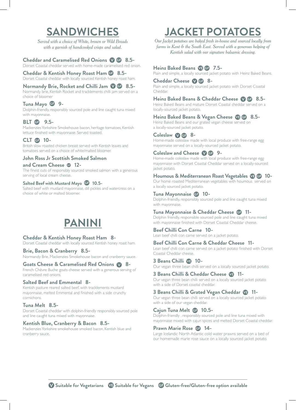## **SANDWICHES**

*Served with a choice of White, brown or Wild Breads with a garnish of handcooked crisps and salad.*

### **Cheddar and Caramelised Red Onions 8.5-**

Dorset Coastal cheddar served with home-made caramelised red onion.

**Cheddar & Kentish Honey Roast Ham 8.5-** Dorset Coastal cheddar with locally sourced Kentish honey roast ham.

**Normandy Brie, Rocket and Chilli Jam @ 6 8.5-**

Normandy brie, Kentish Rocket and tracklements chilli jam served on a choice of bloomer

### **Tuna Mayo 9-**

Dolphin-friendly, responsibly sourced pole and line caught tuna mixed with mayonnaise.

### **BLT + 9.5-**

Mackenzies Yorkshire Smokehouse bacon, heritage tomatoes, Kentish lettuce finished with mayonnaise. Served toasted.

### **CLT <b>G** 10-

British slow roasted chicken breast served with Kentish leaves and tomatoes served on a choice of white/malted bloomer.

### **John Ross Jr Scottish Smoked Salmon**

**and Cream Cheese 12-** The finest cuts of responsibly sourced smoked salmon with a generous serving of local cream cheese.

### **Salted Beef with Mustard Mayo 10.5-**

Salted beef with mustard mayonnaise, dill pickles and watercress on a choice of white or malted bloomer.

## **PANINI**

### **Cheddar & Kentish Honey Roast Ham 8-**

Dorset Coastal cheddar with locally sourced Kentish honey roast ham.

#### **Brie, Bacon & Cranberry 8.5-**

Normandy Brie, Mackenzies Smokehouse bacon and cranberry sauce.

#### **Goats Cheese & Caramelised Red Onions 8-**

French Chèvre Buche goats cheese served with a generous serving of caramelised red onions.

### **Salted Beef and Emmental 8-**

Kentish pasture reared salted beef, with tracklements mustard mayonnaise, melted Emmental and finished with a side crunchy cornichons.

#### **Tuna Melt 8.5-**

Dorset Coastal cheddar with dolphin-friendly responsibly sourced pole and line caught tuna mixed with mayonnaise.

#### **Kentish Blue, Cranberry & Bacon 8.5-**

Mackenzies Yorkshire smokehouse smoked bacon, Kentish blue and cranberry sauce.

# **JACKET POTATOES**

*Our Jacket potatoes are baked fresh in-house and sourced locally from farms in Kent & the South East. Served with a generous helping of Kentish salad with our signature balsamic dressing.*

#### **Heinz Baked Beans 7.5-**

Plain and simple, a locally sourced jacket potato with Heinz Baked Beans.

#### **Cheddar Cheese 8-**

Plain and simple, a locally sourced jacket potato with Dorset Coastal Cheddar.

### **Heinz Baked Beans & Cheddar Cheese 8.5-**

Heinz Baked Beans and mature Dorset Coastal cheddar served on a locally-sourced jacket potato.

### **Heinz Baked Beans & Vegan Cheese 8.5-**

Heinz Baked Beans and our grated vegan cheese served on a locally-sourced jacket potato.

#### **Coleslaw 8-**

Home-made coleslaw made with local produce with free-range egg mayonnaise served on a locally-sourced jacket potato.

### **Coleslaw and Cheese @ GP 9-**

Home-made coleslaw made with local produce with free-range egg mayonnaise with Dorset Coastal Cheddar served on a locally-sourced jacket potato.

### **Houmous & Mediterranean Roast Vegetables 10-**

Our home roasted Mediterranean vegetables with houmous served on a locally sourced jacket potato.

#### **Tuna Mayonnaise 10-**

Dolphin-friendly, responsibly sourced pole and line caught tuna mixed with mayonnaise.

### **Tuna Mayonnaise & Cheddar Cheese 11-**

Dolphin friendly, responsible sourced pole and line caught tuna mixed with mayonnaise finished with Dorset Coastal Cheddar cheese.

### **Beef Chilli Con Carne 10-**

Lean beef chilli con carne served on a jacket potato.

### **Beef Chilli Con Carne & Cheddar Cheese 11-**

Lean beef chilli con carne served on a jacket potato finished with Dorset Coastal Cheddar cheese.

#### **3 Beans Chilli VB 10-**

Our vegan three bean chilli served on a locally sourced jacket potato.

#### **3 Beans Chilli & Cheddar Cheese 11-** Our vegan three bean chilli served on a locally sourced jacket potato with a side of Dorset coastal cheddar.

### **3 Beans Chilli & Grated Vegan Cheddar 11-**

Our vegan three bean chilli served on a locally sourced jacket potato with a side of our vegan cheddar.

### **Cajun Tuna Melt <b>C** 10.5-

Dolphin-friendly , responsibly sourced pole and line tuna mixed with mayonnaise mixed with cajun spices and melted Dorset Coastal cheddar.

#### **Prawn Marie Rose @ 14-**

Large Icelandic North Atlantic cold water prawns served on a bed of our homemade marie rose sauce on a locally sourced jacket potato.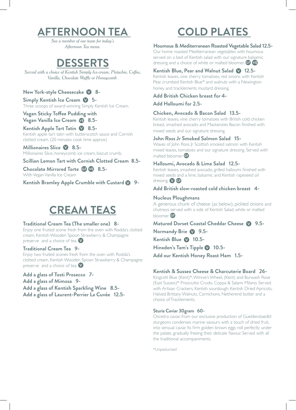# **AFTERNOON TEA**

*See a member of our team for today's Afternoon Tea menu.*

## **DESSERTS**

*Served with a choice of Kentish Simply Ice-cream, Pistachio, Coffee, Vanilla, Chocolate Waffle or Honeycomb.*

### **New York-style Cheesecake @ 8-**

**Simply Kentish Ice Cream 5-** Three scoops of award-winning Simply Kentish Ice Cream.

### **Vegan Sticky Toffee Pudding with**

**Vegan Vanilla Ice Cream 4 8.5-**

### **Kentish Apple Tart Tatin @ 8.5-**

Kentish apple tart tatin with butterscotch sauce and Cornish clotted cream. (20 minutes cook time approx)

**Millionaires Slice 8.5-** Millionaires Slice, honeycomb ice cream, biscuit crumb,

### **Scillian Lemon Tart with Cornish Clotted Cream 8.5-**

**Chocolate Mirrored Torte 8.5-** With Vegan Vanilla Ice Cream

**Kentish Bramley Apple Crumble with Custard @ 9-**

# **CREAM TEAS**

### **Traditional Cream Tea (The smaller one) 8-**

Enjoy one fruited scone fresh from the oven with Rodda's clotted cream, Kentish Wooden Spoon Strawberry & Champagne preserve and a choice of tea.  $\vee$ 

### **Traditional Cream Tea 9-**

Enjoy two fruited scones fresh from the oven with Rodda's clotted cream, Kentish Wooden Spoon Strawberry & Champagne preserve and a choice of tea.

### **Add a glass of Tosti Prosecco 7-**

**Add a glass of Mimosa 9-**

**Add a glass of Kentish Sparkling Wine 8.5- Add a glass of Laurent-Perrier La Cuvée 12.5-**

# **COLD PLATES**

### **Houmous & Mediterranean Roasted Vegetable Salad 12.5-**

Our home roasted Mediterranean vegetables with houmous served on a bed of Kentish salad with our signature balsamic dressing and a choice of white or malted bloomer. **GF VE** 

### Kentish Blue, Pear and Walnut Salad **12.5-**

Kentish leaves, vine cherry tomatoes, red onions with Kentish Pear, crumbed Kentish Blue\* and walnuts with a Newington honey and tracklements mustard dressing.

### **Add British Chicken breast for 4-**

**Add Halloumi for 2.5-**

### **Chicken, Avocado & Bacon Salad 13.5-**

Kentish leaves, vine cherry tomatoes with British cold chicken breast, smashed avocado and Mackenzies Bacon finished with mixed seeds and our signature dressing.

### **John Ross Jr Smoked Salmon Salad 15-**

Waves of John Ross Jr Scottish smoked salmon with Kentish mixed leaves, tomatoes and our signature dressing. Served with malted bloomer. **GD** 

### **Halloumi, Avocado & Lime Salad 12.5-**

Kentish leaves, smashed avocado, grilled halloumi finished with mixed seeds and a lime, balsamic and Kentish rapeseed oil dressing. V GF

**Add British slow-roasted cold chicken breast 4-**

### **Nucleus Ploughmans**

A generous chunk of cheese (as below), pickled onions and chutneys served with a side of Kentish Salad, white or malted bloomer. **GF** 

**Matured Dorset Coastal Cheddar Cheese 9.5-**

**Normandy Brie 2 9.5-**

Kentish Blue **10.5-**

Hinxden's Tam's Tipple **2** 10.5-

**Add our Kentish Honey Roast Ham 1.5-**

### **Kentish & Sussex Cheese & Charcuterie Board 26-**

Kingcott Blue (Kent)\*, Winnie's Wheel, (Kent) and Burwash Rose (East Sussex)\* Prosciutto Crudo, Coppa & Salami Milano. Served with Artisan Crackers, Kentish sourdough, Kentish Dried Apricots, Halved Brittany Walnuts, Cornichons, Netherend butter and a choice of Tracklements.

### **Sturia Caviar 30gram 60-**

Oscietra caviar, from our exclusive production of Gueldenstaedtil sturgeons condenses marine savours with a touch of dried fruit, into sensual caviar. Its firm golden brown eggs roll perfectly under the palate, gradually freeing their delicate flavour. Served with all the traditional accompaniments.

\*Unpasturised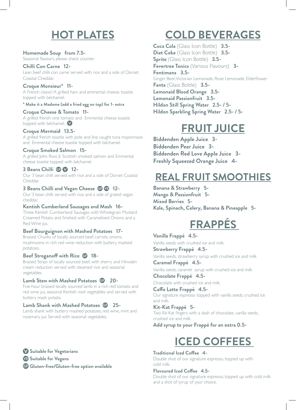# **HOT PLATES**

**Homemade Soup from 7.5-** Seasonal flavours, please check counter.

### **Chilli Con Carne 12-**

Lean beef chilli con carne served with rice and a side of Dorset Coastal Cheddar.

### **Croque Monsieur\* 11-**

A French classic! A grilled ham and emmental cheese. toastie topped with béchamel.

### **\* Make it a Madame (add a fried egg on top) for 1- extra**

**Croque Cheese & Tomato 11-** A grilled french vine tomato and Emmental cheese toastie topped with béchamel.

### **Croque Mermaid 13.5-**

A grilled french toastie with pole and line caught tuna mayonnaise and Emmental cheese toastie topped with béchamel.

### **Croque Smoked Salmon 15-**

A grilled John Ross Jr Scottish smoked salmon and Emmental cheese toastie topped with béchamel.

### **3 Beans Chilli GB V 12-**

Our 3 bean chilli served with rice and a side of Dorset Coastal Cheddar.

### **3 Beans Chilli and Vegan Cheese @ @ 12-**

Our 3 bean chilli served with rice and a side of grated vegan cheddar.

### **Kentish Cumberland Sausages and Mash 16-**

Three Kentish Cumberland Sausages with Wholegrain Mustard Creamed Potato and finished with Caramelised Onions and a Red Wine Jus.

### **Beef Bourguignon with Mashed Potatoes 17-**

Braised Chunks of locally sourced beef, carrots, onions, mushrooms in rich red wine reduction with buttery mashed potatoes.

### **Beef Stroganoff with Rice 18-**

Braised Strips of locally sourced beef, with sherry and Hinxden cream reduction served with steamed rice and seasonal vegetables

### **Lamb Stew with Mashed Potatoes 20-**

Five-hour braised locally sourced lamb in a rich red tomato and red wine jus, seasonal Kentish root vegetables and served with buttery mash potato.

### **Lamb Shank with Mashed Potatoes 25-**

Lamb shank with buttery mashed potatoes, red wine, mint and rosemary jus. Served with seasonal vegetables.

 **Suitable for Vegetarians Suitable for Vegans Gluten-free/Gluten-free option available**

# **COLD BEVERAGES**

**Coca Cola** (Glass Icon Bottle) **3.5- Diet Coke** (Glass Icon Bottle) **3.5- Sprite** (Glass Icon Bottle) **3.5- Fevertree Tonics** (Various Flavours) **3- Fentimans 3.5-** Ginger Beer, Victorian Lemonade, Rose Lemonade, Elderflower **Fanta** (Glass Bottle) **3.5- Lemonaid Blood Orange 3.5- Lemonaid Passionfruit 3.5- Hildon Still Spring Water 2.5- / 5- Hildon Sparkling Spring Water 2.5- / 5-**

# **FRUIT JUICE**

**Biddenden Apple Juice 3- Biddenden Pear Juice 3- Biddenden Red Love Apple Juice 3- Freshly Squeezed Orange Juice 4-**

## **REAL FRUIT SMOOTHIES**

**Banana & Strawberry 5- Mango & Passionfruit 5- Mixed Berries 5- Kale, Spinach, Celery, Banana & Pineapple 5-**

# **FRAPPÉS**

### **Vanilla Frappé 4.5-** Vanilla seeds with crushed ice and milk.

**Strawberry Frappé 4.5-**

Vanilla seeds, strawberry syrup with crushed ice and milk

**Caramel Frappé 4.5-** Vanilla seeds, caramel syrup with crushed ice and milk **Chocolate Frappé 4.5-**

Chocolate with crushed ice and milk.

**Caffe Latte Frappé 4.5-** Our signature espresso topped with vanilla seeds, crushed ice and milk.

**Kit-Kat Frappé 5-** Two Kit-Kat fingers with a dash of chocolate, vanilla seeds, crushed ice and milk.

**Add syrup to your Frappé for an extra 0.5-**

# **ICED COFFEES**

#### **Traditional Iced Coffee 4-** Double shot of our signature espresso, topped up with cold milk.

**Flavoured Iced Coffee 4.5-** Double shot of our signature espresso, topped up with cold milk and a shot of syrup of your choice.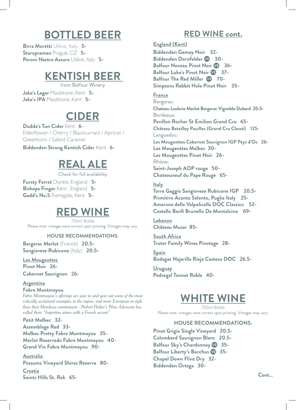# **BOTTLED BEER**

**Birra Moretti** Udine, Italy **5- Staropramen** Prague, CZ **5- Peroni Nastro Azzuro** Udine, Italy **5-**

## **KENTISH BEER**

from Balfour Winery **Jake's Lager** Maidstone, Kent **5- Jake's IPA** Maidstone, Kent **5-**

## **CIDER**

**Dudda's Tun Cider** Kent **6-** Elderflower / Cherry / Blackcurrant / Apricot / Greenhorn / Salted Caramel

**Biddenden Strong Kentish Cider** Kent **6-**

# **REAL ALE**

Check for full availability

**Fursty Ferret** Dorest, England **5- Bishops Finger** Kent , England **5- Gadd's No.5** Ramsgate, Kent **5-**

## **RED WINE**

750ml Bottle Please note: vintages were correct upon printing. Vintages may vary.

### **HOUSE RECOMMENDATIONS:**

**Bergerac Merlot** (France) **20.5- Sangiovese Rubicone** (Italy) **20.5-**

**Les Mougeottes Pinot Noir 26- Cabernet Sauvignon 26-**

### **Argentina Fabre Montmayou**

*Fabre Montmayou's offerings are year in and year out some of the most critically acclaimed examples in the region, and more European in style than their Mendoza counterparts - Robert Parker's Wine Advocate has called them "Argentine wines with a French accent"* 

**Petit Malbec 32- Assemblage Red 33- Malbec Pretty Fabre Montmayou 35- Merlot Reservado Fabre Montmayou 40- Grand Vin Fabre Montmayou 90-**

**Australia Possums Vineyard Shiraz Reserva 80-**

**Croatia Saints Hills St. Rok 65-** 

### **RED WINE cont.**

**England (Kent)**

**Biddenden Gamay Noir 32- Biddenden Dornfelder 30- Balfour Noveau Pinot Noir 36- Balfour Luke's Pinot Noir 37- Balfour The Red Miller**  $\sqrt{9}$  **70-Simpsons Rabbit Hole Pinot Noir 35-**

**France**

Bergerac: **Chateau Laulerie Merlot Bergerac Vignoble Dubard 20.5-**  Bordeaux: **Pavillon Rocher St Emilion Grand Cru 65- Château Batailley Pauillac (Grand Cru Classé) 125-** Languedoc: **Les Mougeottes Cabernet Sauvignon IGP Pays d'Oc 26- Les Mougeottes Malbec 30- Les Mougeottes Pinot Noir 26-** Rhône: **Saint-Joseph AOP rouge 50- Chateauneuf du Pape Rouge 65-**

### **Italy**

**Torre Gaggio Sangiovese Rubicone IGP 20.5- Primitivo Acanto Salento, Puglia Italy 25- Amarone della Valpolicella DOC Classico 52- Castello Banfi Brunello De Montalcino 69-**

**Lebanon Château Musar 85-**

**South Africa Truter Family Wines Pinotage 28-**

**Spain Bodegas Najerilla Rioja Castezo DOC 26.5-**

**Uruguay Pedregal Tannat Roble 40-**

## **WHITE WINE**

750ml Bottle Please note: vintages were correct upon printing. Vintages may vary.

### **HOUSE RECOMMENDATIONS:**

**Pinot Grigio Single Vineyard 20.5- Colombard Sauvignon Blanc 20.5- Balfour Sky's Chardonnay 35- Balfour Liberty's Bacchus 35- Chapel Down Flint Dry 32- Biddenden Ortega 30-**

**Cont…**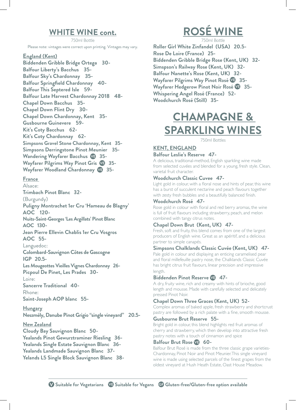### **WHITE WINE cont.**

750ml Bottle Please note: vintages were correct upon printing. Vintages may vary.

**England (Kent) Biddenden Gribble Bridge Ortega 30- Balfour Liberty's Bacchus 35- Balfour Sky's Chardonnay 35- Balfour Springfield Chardonnay 40- Balfour This Septered Isle 59- Balfour Late Harvest Chardonnay 2018 48- Chapel Down Bacchus 35- Chapel Down Flint Dry 30- Chapel Down Chardonnay, Kent 35- Gusbourne Guinevere 59- Kit's Coty Bacchus 62- Kit's Coty Chardonnay 62- Simpsons Gravel Stone Chardonnay, Kent 35- Simpsons Derringstone Pinot Meunier 35- Wandering Wayfarer Bacchus 35- Wayfarer Pilgrims Way Pinot Gris 35- Wayfarer Woodland Chardonnay 35-**

### **France**

Alsace: **Trimbach Pinot Blanc 32-** (Burgundy) **Puligny Montrachet 1er Cru 'Hameau de Blagny' AOC 120- Nuits-Saint-Georges 'Les Argillats' Pinot Blanc AOC 130- Jean Pierre Ellevin Chablis 1er Cru Vosgros AOC 55-** Languedoc: **Colombard-Sauvignon Côtes de Gascogne IGP 20.5- Les Mougeottes Vieilles Vignes Chardonnay 26- Picpoul De Pinet, Les Prades 30-** Loire: **Sancerre Traditional 40-** Rhone:

**Saint-Joseph AOP blanc 55-**

**Hungary Neszmély, Danube Pinot Grigio "single vineyard" 20.5-**

### **New Zealand**

**Cloudy Bay Sauvignon Blanc 50- Yealands Pinot Gewurztraminer Riesling 36- Yealands Single Estate Sauvignon Blanc 36- Yealands Landmade Sauvignon Blanc 37- Yelands L5 Single Block Sauvignon Blanc 38-**

# **ROSÉ WINE**

750ml Bottle **Roller Girl White Zinfandel (USA) 20.5- Rose De Loire (France) 25- Biddenden Gribble Bridge Rose (Kent, UK) 32- Simspson's Railway Rose (Kent, UK) 32- Balfour Nanette's Rose (Kent, UK) 32- Wayfarer Pilgrims Way Pinot Rosé 35- Wayfarer Hedgerow Pinot Noir Rosé 35- Whispering Angel Rosé (France) 52- Woodchurch Rosé (Still) 35-**

# **CHAMPAGNE & SPARKLING WINES**

750ml Bottles

### **KENT, ENGLAND**

### **Balfour Leslie's Reserve 47-**

A delicious, traditional-method, English sparkling wine made from selected cuvées and blended for a young, fresh style. Clean, varietal fruit character.

### **Woodchurch Classic Cuvee 47-**

Light gold in colour, with a floral nose and hints of pear, this wine has a burst of succulent nectarine and peach flavours together with zesty fresh bubbles and a beautifully balanced finish.

### **Woodchurch Rosé 47-**

Rose gold in colour with floral and red berry aromas, the wine is full of fruit flavours including strawberry, peach, and melon combined with tangy citrus notes.

### **Chapel Down Brut (Kent, UK) 47-**

Fresh, soft and fruity, this blend comes from one of the largest producers of English wine. Great as an apéritif, and a delicious partner to simple canapés.

### **Simpsons Chalklands Classic Cuvée (Kent, UK) 47-**

Pale gold in colour and displaying an enticing caramelised pear and floral millefeuille pastry nose, the Chalklands Classic Cuvée has bright citrus fruit flavours, linear precision and impressive length.

### **Biddenden Pinot Reserve 47-**

A dry, fruity wine, rich and creamy with hints of brioche, good length and mousse. Made with carefully selected and delicately pressed Pinot Noir.

### **Chapel Down Three Graces (Kent, UK) 52-**

Complex aromas of baked apple, fresh strawberry and shortcrust pastry are followed by a rich palate with a fine, smooth mousse.

### **Gusbourne Brut Reserve 55-**

Bright gold in colour, this blend highlights red fruit aromas of cherry and strawberry, which then develop into attractive fresh pastry notes with a touch of cinnamon and spice

### **Balfour Brut Rose 49 60-**

Balfour Brut Rosé is made from the three classic grape varieties-Chardonnay, Pinot Noir and Pinot Meunier. This single vineyard wine is made using selected parcels of the finest grapes from the oldest vineyard at Hush Heath Estate, Oast House Meadow.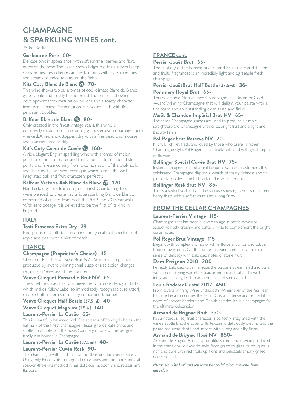### **CHAMPAGNE & SPARKLING WINES cont.**

750ml Bottles

### **Gusbourne Rose 60-**

Delicate pink in appearance, with soft summer berries and floral notes on the nose. The palate shows bright red fruits, driven by ripe strawberries, fresh cherries and redcurrants, with a crisp freshness and creamy, rounded texture on the finish.

### **Kits Coty Blanc de Blanc 49 70-**

This wine shows typical aromas of cool climate Blanc de Blancs; green apple and freshly baked bread. The palate is showing development from maturation on lees and a toasty character from partial barrel fermentation. A savoury finish with fine, persistent bubbles.

### **Balfour Blanc de Blanc 80-**

Only created in the finest vintage years, this wine is exclusively made from chardonnay grapes grown in our eight acre vineyard. A real showstopper; dry with a fine bead and mousse and a vibrant lime acidity.

### **Kit's Coty Coeur de Cuvée 160-**

A rich, elegant English sparkling wine with aromas of melon, peach and hints of butter and toast. The palate has incredible purity and finesse coming from a combination of the chalk soils and the specific pressing technique which carries the wellintegrated oak and fruit characters perfectly.

### **Balfour Victoria Ash Blanc de Blanc 120-**

Handpicked grapes from only our finest Chardonnay blocks were blended to create this unique sparkling Blanc de Blancs, comprised of cuvées from both the 2012 and 2013 harvests. With zero dosage, it is believed to be the first of its kind in England!

### **ITALY**

### **Tosti Prosecco Extra Dry 29-**

Fine, persistent, soft fizz surrounds the typical fruit spectrum of apple and pear with a hint of peach.

### **FRANCE**

### **Champagne (Proprietor's Choice) 45-**

Choice of Brut NV or Rose Brut NV . Artisan Champagnes produced by award winning small suppliers, selection changes regularly - Please ask at the counter.

### **Veuve Clicquot Ponsardin Brut NV 65-**

The Chef de Caves has to achieve the total consistency of taste, which makes Yellow Label so immediately recognisable, so utterly reliable both in terms of quality, colour and bouquet.

### **Veuve Clicquot Half Bottle (37.5ml) 40-**

### **Veuve Clicquot Magnum (1.5ltr) 140-**

**Laurent-Perrier La Cuvée 65-**

This is beautifully balanced with fine streams of flowing bubbles - the hallmark of the finest champagne - leading to delicate citrus and subtle floral notes on the nose. Courtesy of one of the last great family-run houses in Champagne.

### **Laurent-Perrier La Cuvée (37.5ml) 40-**

### **Laurent-Perrier Cuvée Rosé 90-**

This champagne with its distinctive bottle is one for connoisseurs. Using only Pinot Noir from grand cru villages and the more unusual soak-on-the-skins method, it has delicious raspberry and redcurrant flavours

### **FRANCE cont.**

### **Perrier-Jouët Brut 65-**

The subtlety of the Perrier-Jouët Grand Brut cuvée and its floral and fruity fragrances is an incredibly light and agreeable fresh champagne.

### **Perrier-JouëtBrut Half Bottle (37.5ml) 36-**

### **Pommery Royal Brut 65-**

This delectable Non Vintage Champagne is a Decanter Gold Award Winning Champagne that will delight your palate with a fine foam and an outstanding clean taste and finish.

### **Moët & Chandon Impérial Brut NV 65-**

The three Champagne grapes are used to produce a simple, straightforward Champagne with crisp, bright fruit and a light and biscuity finish.

### **Pol Roger brut Reserve NV 70-**

It is full, rich yet fresh, and loved by those who prefer a richer Champagne style. Pol Roger is beautifully balanced with great depth of flavour.

### **Bollinger Special Cuvée Brut NV 75-**

Instantly recognisable and a real favourite with our customers, this celebrated Champagne displays a wealth of toasty richness and tiny pin-prick bubbles - the hallmark of the very finest fizz

### **Bollinger Rosé Brut NV 85-**

This is a seductive, toasty and crisp rosé showing flavours of summer berry fruits with a soft texture and a long finish

### **FROM THE CELLAR CHAMPAGNES**

### **Laurent-Perrier Vintage 115-**

Champagne that has been allowed to age in bottle develops seductive nutty, creamy and buttery hints to complement the bright citrus notes.

### **Pol Roger Brut Vintage 115-**

Elegant with complex aromas of white flowers, quince and subtle brioche overtones. On the palate the wine is intense yet retains a sense of delicacy with balanced notes of stone fruit.

### **Dom Pérignon 2010 200-**

Perfectly balanced with the nose, the palate is streamlined and pure, with an underlying warmth. Clear, pronounced fruit and a wellintegrated acidity, lead to an aromatic and smoky finish.

### **Louis Roderer Cristal 2012 450-**

From award-winning Wine Enthusiast's Winemaker of the Year Jean-Baptiste Lecaillon comes the iconic Cristal. Intense and refined it has notes of apricot, hazelnut and Danish pastries. It's is a champagne for the ultimate celebration.

### **Armand de Brignac Brut 550-**

Its sumptuous, racy fruit character is perfectly integrated with the wine's subtle brioche accents. Its texture is deliciously creamy and the palate has great depth and impact with a long and silky finish.

### **Armand de Brignac Rosé NV 850-**

Armand de Brignac Rose is a beautiful salmon-hued wine produced in the traditional, old-world style, from grape to glass. Its bouquet is rich and pure with red fruits up front and delicately smoky grilled notes behind.

*Please see 'The List' and our team for special wines available from our cellar.*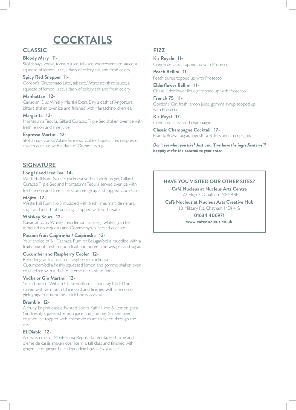# **COCKTAILS**

### **CLASSIC**

### **Bloody Mary 11-**

Stolichnaya vodka, tomato juice, tabasco, Worcestershire sauce, a squeeze of lemon juice, a dash of celery salt and fresh celery.

### **Spicy Red Snapper 11-**

Gordon's Gin, tomato juice, tabasco, Worcestershire sauce, a squeeze of lemon juice, a dash of celery salt and fresh celery.

### **Manhattan 12-**

Canadian Club Whisky, Martini Extra Dry, a dash of Angostura bitters shaken over ice and finished with Maraschino cherries.

### **Margarita 12-**

Montezuma Tequila, Giffard Curaçao Triple Sec shaken over ice with fresh lemon and lime juice.

### **Espresso Martini 12-**

Stolichnaya vodka, Volare Espresso Coffee Liqueur, fresh espresso shaken over ice with a dash of Gomme syrup.

### **SIGNATURE**

### **Long Island Iced Tea 14-**

Westerhall Rum No.5, Stolichnaya vodka, Gordon's gin, Giffard Curaçao Triple Sec and Montezuma Tequila served over ice with fresh lemon and lime juice, Gomme syrup and topped Coca-Cola.

### **Mojito 12-**

Westerhall Rum No.5 muddled with fresh lime, mint, demerara sugar and a dash of cane sugar topped with soda water.

### **Whiskey Sours 12-**

Canadian Club Whisky, fresh lemon juice, egg whites (can be removed on request) and Gomme syrup. Served over ice.

### **Passion fruit Caipirinha / Caipiroska 12-**

Your choice of 51 Cachaça Rum or BelugaVodka muddled with a fruity mix of fresh passion fruit and puree lime wedges and sugar.

### **Cucumber and Raspberry Cooler 12-**

Refreshing with a touch of raspberry.Stolichnaya CucumberVodka,freshly squeezed lemon and gomme shaken over crushed ice with a dash of crème de cassis to finish.

### **Vodka or Gin Martini 12-**

Your choice of William Chase Vodka or Tanqueray No10 Gin stirred with vermouth till ice cold and finished with a lemon or pink grapefruit twist for a slick boozy cocktail.

### **Bramble 12-**

A fruity English classic.Twisted Spirits Kaffir Lime & Lemon grass Gin, freshly squeezed lemon juice and gomme. Shaken over crushed ice topped with crème de mure to bleed through the ice.

### **El Diablo 12-**

A devilish mix of Montezuma Reposado Tequila, fresh lime and crème de cassis shaken over ice in a tall class and finished with ginger ale or ginger beer depending how fiery you feel!

### **FIZZ**

**Kir Royale 11-** Creme de cassis topped up with Prosecco.

**Peach Bellini 11-** Peach puree topped up with Prosecco.

**Elderflower Bellini 11-** Chase Elderflower liqueur topped up with Prosecco.

**French 75 11-** Gordon's Gin, fresh lemon juice, gomme syrup topped up with Prosecco

**Kir Royal 17-** Crème de cassis and champagne.

**Classic Champagne Cocktail 17-** Brandy, Brown Sugar, angostura Bitters and champagne.

*Don't see what you like? Just ask, if we have the ingredients we'll happily make the cocktail to your order.*

### **HAVE YOU VISITED OUR OTHER SITES?**

**Café Nucleus at Nucleus Arts Centre** 272 High St, Chatham ME4 4BP

**Café Nucleus at Nucleus Arts Creative Hub** 13 Military Rd, Chatham ME4 4JG

> **01634 406971 www.cafenucleus.co.uk**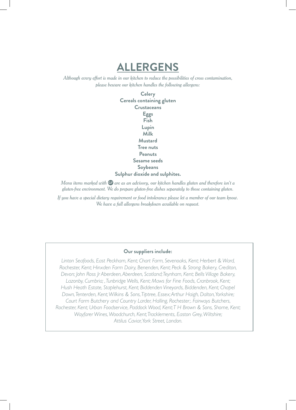**ALLERGENS**

*Although every effort is made in our kitchen to reduce the possibilities of cross contamination, please beware our kitchen handles the following allergens:*

> **Celery Cereals containing gluten Crustaceans Eggs Fish Lupin Milk Mustard Tree nuts Peanuts Sesame seeds Soybeans Sulphur dioxide and sulphites.**

*Menu items marked with*  $G$  are as an advisory, our kitchen handles gluten and therefore isn't a *gluten-free environment. We do prepare gluten-free dishes separately to those containing gluten.*

*If you have a special dietary requirement or food intolerance please let a member of our team know. We have a full allergens breakdown available on request.*

### **Our suppliers include:**

*Linton Seafoods, East Peckham, Kent; Chart Farm, Sevenoaks, Kent; Herbert & Ward, Rochester, Kent; Hinxden Farm Dairy, Benenden, Kent; Peck & Strong Bakery, Crediton, Devon; John Ross Jr Aberdeen, Aberdeen, Scotland; Teynham, Kent; Bells Village Bakery,*  Lazonby, Cumbria; , Tunbridge Wells, Kent; Maws for Fine Foods, Cranbrook, Kent; *Hush Heath Estate, Staplehurst, Kent; Biddenden Vineyards, Biddenden, Kent; Chapel Down, Tenterden, Kent; Wilkins & Sons, Tiptree, Essex; Arthur Haigh, Dalton, Yorkshire; Court Farm Butchery and Country Larder, Halling, Rochester;. Fairways Butchers, Rochester, Kent; Urban Foodservice, Paddock Wood, Kent; T H Brown & Sons, Shorne, Kent; Wayfarer Wines, Woodchurch, Kent; Tracklements, Easton Grey, Wiltshire; Attilus Caviar, York Street, London.*